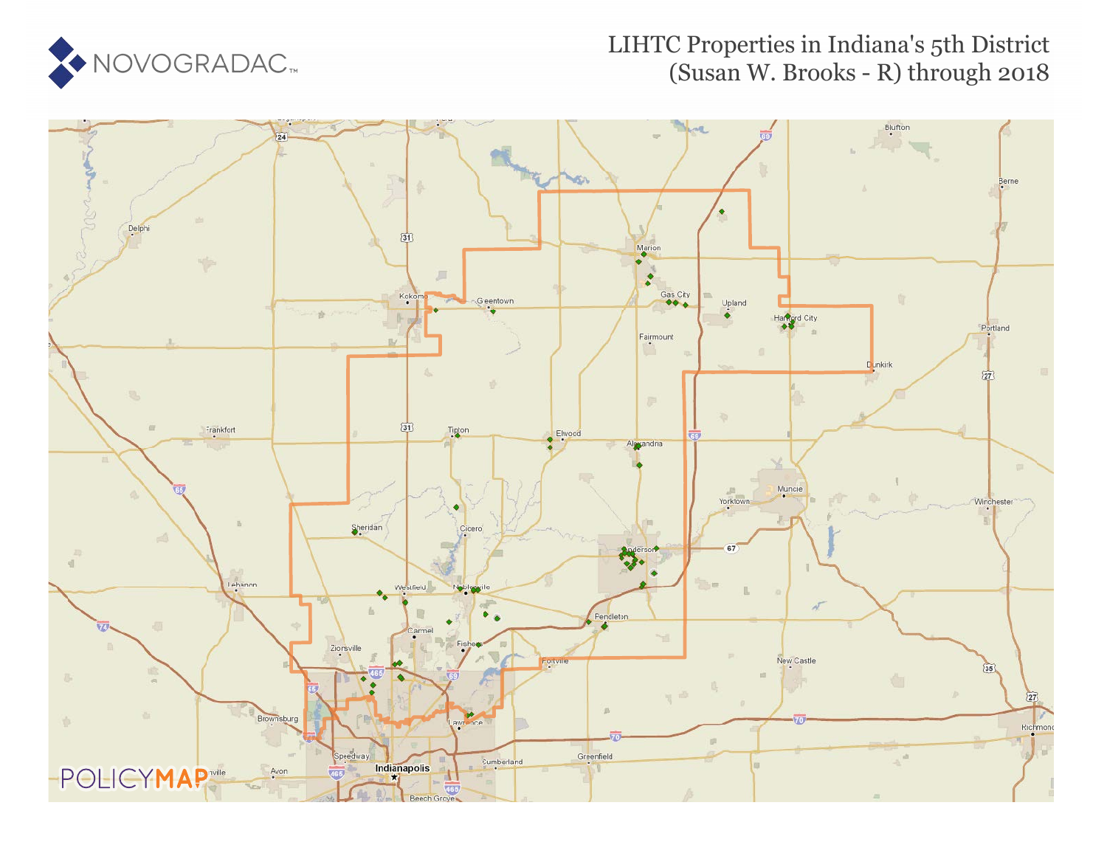

### LIHTC Properties in Indiana's 5th District (Susan W. Brooks - R) through 2018

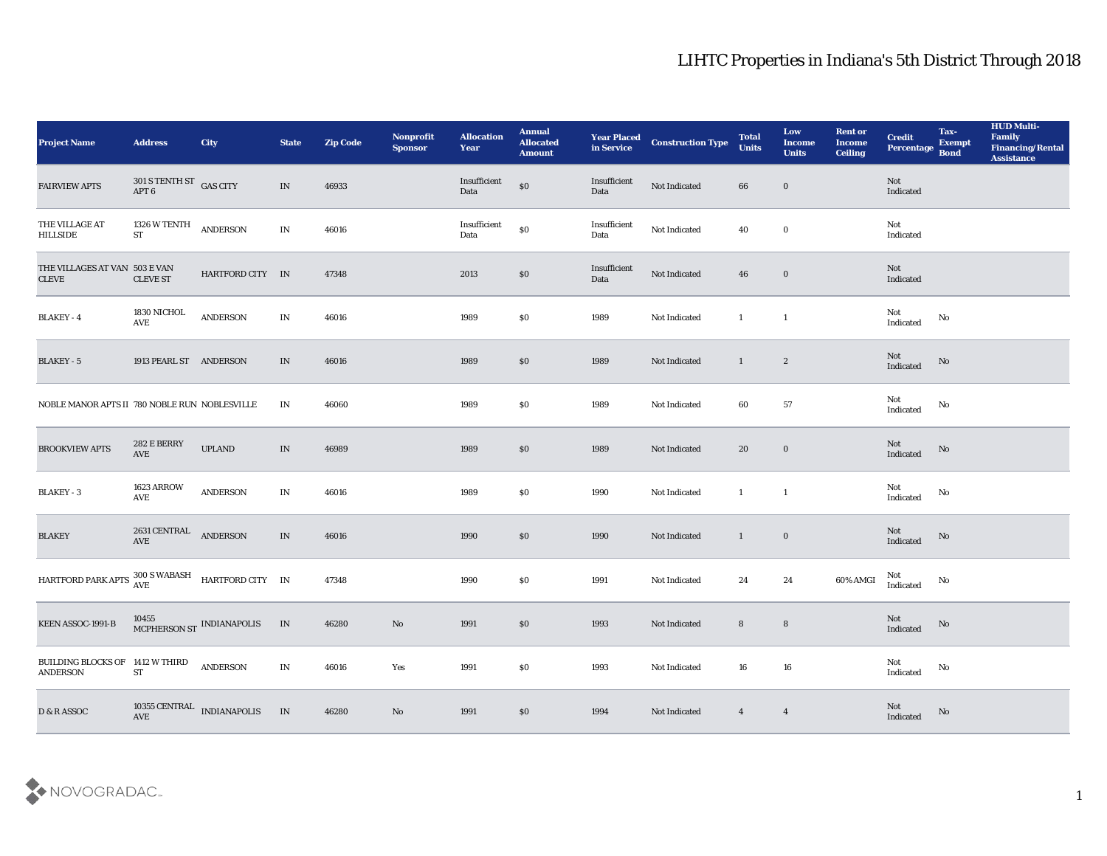| <b>Project Name</b>                                                                   | <b>Address</b>                                     | <b>City</b>                           | <b>State</b>                    | <b>Zip Code</b> | Nonprofit<br><b>Sponsor</b> | <b>Allocation</b><br><b>Year</b> | <b>Annual</b><br><b>Allocated</b><br><b>Amount</b> | <b>Year Placed<br/>in Service</b> | <b>Construction Type</b> | <b>Total</b><br><b>Units</b> | Low<br><b>Income</b><br><b>Units</b> | <b>Rent or</b><br><b>Income</b><br><b>Ceiling</b> | <b>Credit</b><br>Percentage       | Tax-<br><b>Exempt</b><br><b>Bond</b> | <b>HUD Multi-</b><br>Family<br><b>Financing/Rental</b><br><b>Assistance</b> |
|---------------------------------------------------------------------------------------|----------------------------------------------------|---------------------------------------|---------------------------------|-----------------|-----------------------------|----------------------------------|----------------------------------------------------|-----------------------------------|--------------------------|------------------------------|--------------------------------------|---------------------------------------------------|-----------------------------------|--------------------------------------|-----------------------------------------------------------------------------|
| <b>FAIRVIEW APTS</b>                                                                  | $301$ S TENTH ST $$\sf{GAS}\>{\sf{CITY}}$$ APT $6$ |                                       | IN                              | 46933           |                             | Insufficient<br>Data             | $\$0$                                              | Insufficient<br>Data              | Not Indicated            | 66                           | $\bf{0}$                             |                                                   | Not<br>Indicated                  |                                      |                                                                             |
| THE VILLAGE AT<br><b>HILLSIDE</b>                                                     | 1326 W TENTH<br><b>ST</b>                          | ANDERSON                              | $\ensuremath{\text{IN}}$        | 46016           |                             | Insufficient<br>Data             | $\$0$                                              | Insufficient<br>Data              | Not Indicated            | 40                           | $\bf{0}$                             |                                                   | Not<br>Indicated                  |                                      |                                                                             |
| THE VILLAGES AT VAN 503 E VAN<br><b>CLEVE</b>                                         | <b>CLEVE ST</b>                                    | HARTFORD CITY IN                      |                                 | 47348           |                             | 2013                             | \$0                                                | Insufficient<br>Data              | Not Indicated            | 46                           | $\bf{0}$                             |                                                   | Not<br>Indicated                  |                                      |                                                                             |
| <b>BLAKEY - 4</b>                                                                     | 1830 NICHOL<br>$\operatorname{AVE}$                | <b>ANDERSON</b>                       | $\ensuremath{\text{IN}}\xspace$ | 46016           |                             | 1989                             | \$0                                                | 1989                              | Not Indicated            | $\mathbf{1}$                 | $\mathbf{1}$                         |                                                   | Not<br>$\operatorname{Indicated}$ | $\mathbf{N}\mathbf{o}$               |                                                                             |
| <b>BLAKEY - 5</b>                                                                     | 1913 PEARL ST ANDERSON                             |                                       | IN                              | 46016           |                             | 1989                             | \$0                                                | 1989                              | Not Indicated            | $\mathbf{1}$                 | $\mathbf{2}$                         |                                                   | Not<br>Indicated                  | No                                   |                                                                             |
| NOBLE MANOR APTS II 780 NOBLE RUN NOBLESVILLE                                         |                                                    |                                       | IN                              | 46060           |                             | 1989                             | \$0                                                | 1989                              | Not Indicated            | 60                           | 57                                   |                                                   | Not<br>Indicated                  | No                                   |                                                                             |
| <b>BROOKVIEW APTS</b>                                                                 | $282\to \rm BERRY$<br>$\operatorname{AVE}$         | <b>UPLAND</b>                         | $\ensuremath{\text{IN}}$        | 46989           |                             | 1989                             | \$0                                                | 1989                              | Not Indicated            | 20                           | $\bf{0}$                             |                                                   | Not<br>Indicated                  | No                                   |                                                                             |
| <b>BLAKEY - 3</b>                                                                     | <b>1623 ARROW</b><br>AVE                           | <b>ANDERSON</b>                       | IN                              | 46016           |                             | 1989                             | \$0                                                | 1990                              | Not Indicated            | $\mathbf{1}$                 | $\mathbf{1}$                         |                                                   | Not<br>Indicated                  | No                                   |                                                                             |
| <b>BLAKEY</b>                                                                         | $2631$ CENTRAL $\quad$ ANDERSON AVE                |                                       | $\ensuremath{\text{IN}}$        | 46016           |                             | 1990                             | $\$0$                                              | 1990                              | Not Indicated            | $\mathbf{1}$                 | $\bf{0}$                             |                                                   | Not<br>Indicated                  | No                                   |                                                                             |
| HARTFORD PARK APTS $\frac{300 \text{ S} \text{ WABASH}}{\text{AVE}}$ HARTFORD CITY IN |                                                    |                                       |                                 | 47348           |                             | 1990                             | \$0                                                | 1991                              | Not Indicated            | 24                           | 24                                   | 60% AMGI                                          | Not<br>Indicated                  | $\mathbf{N}\mathbf{o}$               |                                                                             |
| KEEN ASSOC-1991-B                                                                     |                                                    | 10455<br>MCPHERSON ST INDIANAPOLIS    | IN                              | 46280           | No                          | 1991                             | \$0                                                | 1993                              | Not Indicated            | 8                            | ${\bf 8}$                            |                                                   | Not<br>Indicated                  | No                                   |                                                                             |
| BUILDING BLOCKS OF 1412 W THIRD<br>ANDERSON                                           | <b>ST</b>                                          | ANDERSON                              | $\mathbf{IN}$                   | 46016           | Yes                         | 1991                             | \$0                                                | 1993                              | Not Indicated            | 16                           | 16                                   |                                                   | Not<br>$\operatorname{Indicated}$ | $\mathbf {No}$                       |                                                                             |
| D & R ASSOC                                                                           |                                                    | $10355$ CENTRAL $\;$ INDIANAPOLIS AVE | IN                              | 46280           | $\mathbf {No}$              | 1991                             | $\$0$                                              | 1994                              | Not Indicated            | $\overline{4}$               | $\overline{\mathbf{4}}$              |                                                   | Not<br>Indicated                  | $\mathbf {No}$                       |                                                                             |

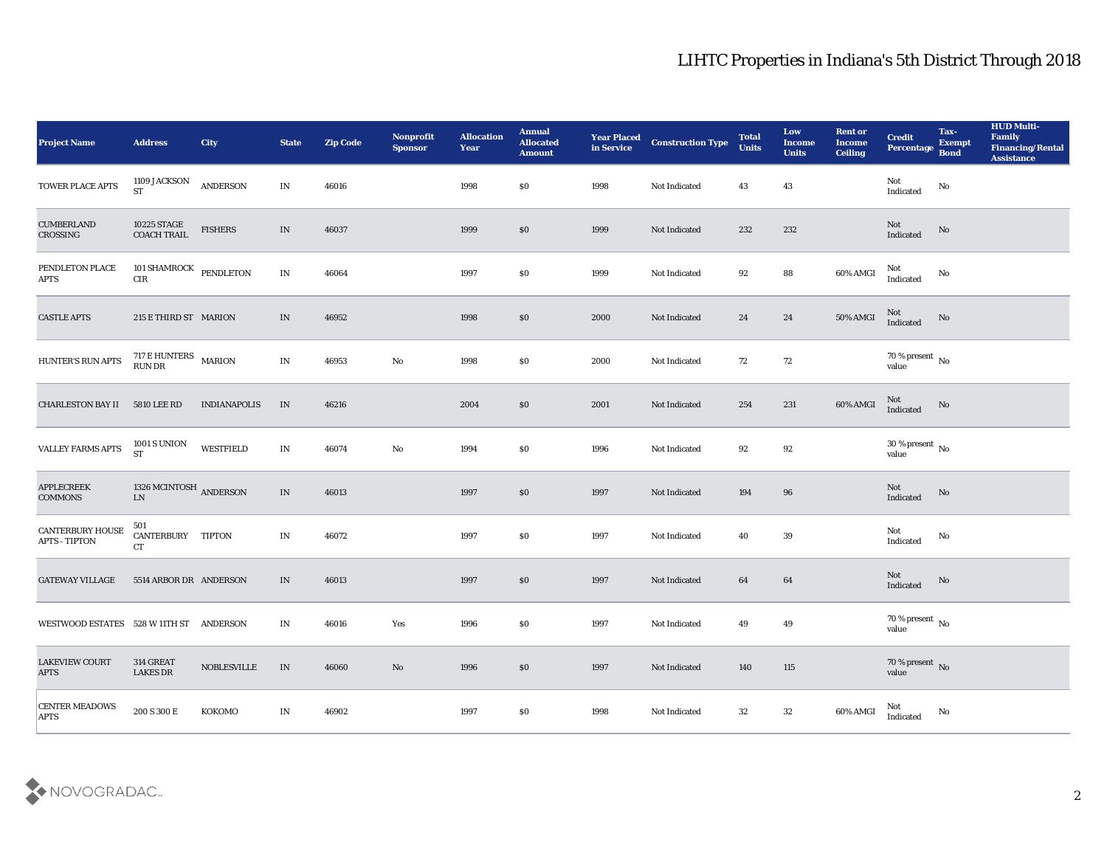| <b>Project Name</b>                      | <b>Address</b>                       | <b>City</b>                           | <b>State</b>                    | <b>Zip Code</b> | Nonprofit<br><b>Sponsor</b> | <b>Allocation</b><br>Year | <b>Annual</b><br><b>Allocated</b><br><b>Amount</b> | <b>Year Placed</b><br>in Service | <b>Construction Type</b> | <b>Total</b><br><b>Units</b> | Low<br><b>Income</b><br><b>Units</b> | <b>Rent or</b><br><b>Income</b><br><b>Ceiling</b> | <b>Credit</b><br>Percentage                | Tax-<br><b>Exempt</b><br><b>Bond</b> | <b>HUD Multi-</b><br>Family<br><b>Financing/Rental</b><br><b>Assistance</b> |
|------------------------------------------|--------------------------------------|---------------------------------------|---------------------------------|-----------------|-----------------------------|---------------------------|----------------------------------------------------|----------------------------------|--------------------------|------------------------------|--------------------------------------|---------------------------------------------------|--------------------------------------------|--------------------------------------|-----------------------------------------------------------------------------|
| TOWER PLACE APTS                         | 1109 JACKSON<br><b>ST</b>            | ANDERSON                              | $\mathbf{IN}$                   | 46016           |                             | 1998                      | $\$0$                                              | 1998                             | Not Indicated            | 43                           | 43                                   |                                                   | Not<br>Indicated                           | No                                   |                                                                             |
| <b>CUMBERLAND</b><br>CROSSING            | 10225 STAGE<br><b>COACH TRAIL</b>    | <b>FISHERS</b>                        | $\ensuremath{\text{IN}}$        | 46037           |                             | 1999                      | $\boldsymbol{\mathsf{S}}\boldsymbol{\mathsf{O}}$   | 1999                             | Not Indicated            | 232                          | 232                                  |                                                   | Not<br>Indicated                           | No                                   |                                                                             |
| PENDLETON PLACE<br><b>APTS</b>           | 101 SHAMROCK PENDLETON<br>$\rm CIR$  |                                       | IN                              | 46064           |                             | 1997                      | \$0                                                | 1999                             | Not Indicated            | 92                           | ${\bf 88}$                           | 60% AMGI                                          | Not<br>Indicated                           | No                                   |                                                                             |
| <b>CASTLE APTS</b>                       | 215 E THIRD ST MARION                |                                       | IN                              | 46952           |                             | 1998                      | $\$0$                                              | 2000                             | Not Indicated            | 24                           | 24                                   | $50\%$ AMGI                                       | Not<br>Indicated                           | No                                   |                                                                             |
| HUNTER'S RUN APTS                        | $717$ E HUNTERS $\;$ MARION RUN DR   |                                       | IN                              | 46953           | $\mathbf {No}$              | 1998                      | \$0                                                | 2000                             | Not Indicated            | 72                           | 72                                   |                                                   | $70\,\%$ present $\,$ No value             |                                      |                                                                             |
| CHARLESTON BAY II                        | 5810 LEE RD                          | <b>INDIANAPOLIS</b>                   | IN                              | 46216           |                             | 2004                      | $\boldsymbol{\mathsf{S}}\boldsymbol{\mathsf{O}}$   | 2001                             | Not Indicated            | 254                          | 231                                  | 60% AMGI                                          | Not<br>Indicated                           | No                                   |                                                                             |
| <b>VALLEY FARMS APTS</b>                 | 1001 S UNION<br><b>ST</b>            | WESTFIELD                             | IN                              | 46074           | No                          | 1994                      | \$0                                                | 1996                             | Not Indicated            | 92                           | 92                                   |                                                   | $30\,\%$ present $\,$ No value             |                                      |                                                                             |
| <b>APPLECREEK</b><br><b>COMMONS</b>      | 1326 MCINTOSH ANDERSON<br>${\rm LN}$ |                                       | $\ensuremath{\text{IN}}\xspace$ | 46013           |                             | 1997                      | $\$0$                                              | 1997                             | Not Indicated            | 194                          | 96                                   |                                                   | Not<br>Indicated                           | No                                   |                                                                             |
| CANTERBURY HOUSE<br><b>APTS - TIPTON</b> | 501<br>CANTERBURY TIPTON<br>CT       |                                       | IN                              | 46072           |                             | 1997                      | \$0                                                | 1997                             | Not Indicated            | 40                           | 39                                   |                                                   | Not<br>$\operatorname{Indicated}$          | No                                   |                                                                             |
| <b>GATEWAY VILLAGE</b>                   | 5514 ARBOR DR ANDERSON               |                                       | IN                              | 46013           |                             | 1997                      | $\$0$                                              | 1997                             | Not Indicated            | 64                           | 64                                   |                                                   | Not<br>Indicated                           | No                                   |                                                                             |
| WESTWOOD ESTATES 528 W 11TH ST ANDERSON  |                                      |                                       | IN                              | 46016           | Yes                         | 1996                      | \$0                                                | 1997                             | <b>Not Indicated</b>     | 49                           | 49                                   |                                                   | $70\,\%$ present $\,$ No value             |                                      |                                                                             |
| <b>LAKEVIEW COURT</b><br>$\rm APTS$      | 314 GREAT<br><b>LAKES DR</b>         | $\operatorname{\mathsf{NOBLESVILLE}}$ | $\ensuremath{\text{IN}}\xspace$ | 46060           | $\rm\thinspace No$          | 1996                      | $\$0$                                              | 1997                             | Not Indicated            | 140                          | 115                                  |                                                   | $70\,\%$ present $\,$ No value             |                                      |                                                                             |
| <b>CENTER MEADOWS</b><br><b>APTS</b>     | $200$ S $300$ E                      | KOKOMO                                | IN                              | 46902           |                             | 1997                      | $\$0$                                              | 1998                             | Not Indicated            | 32                           | $32\,$                               | 60% AMGI                                          | $\operatorname{\mathsf{Not}}$<br>Indicated | No                                   |                                                                             |

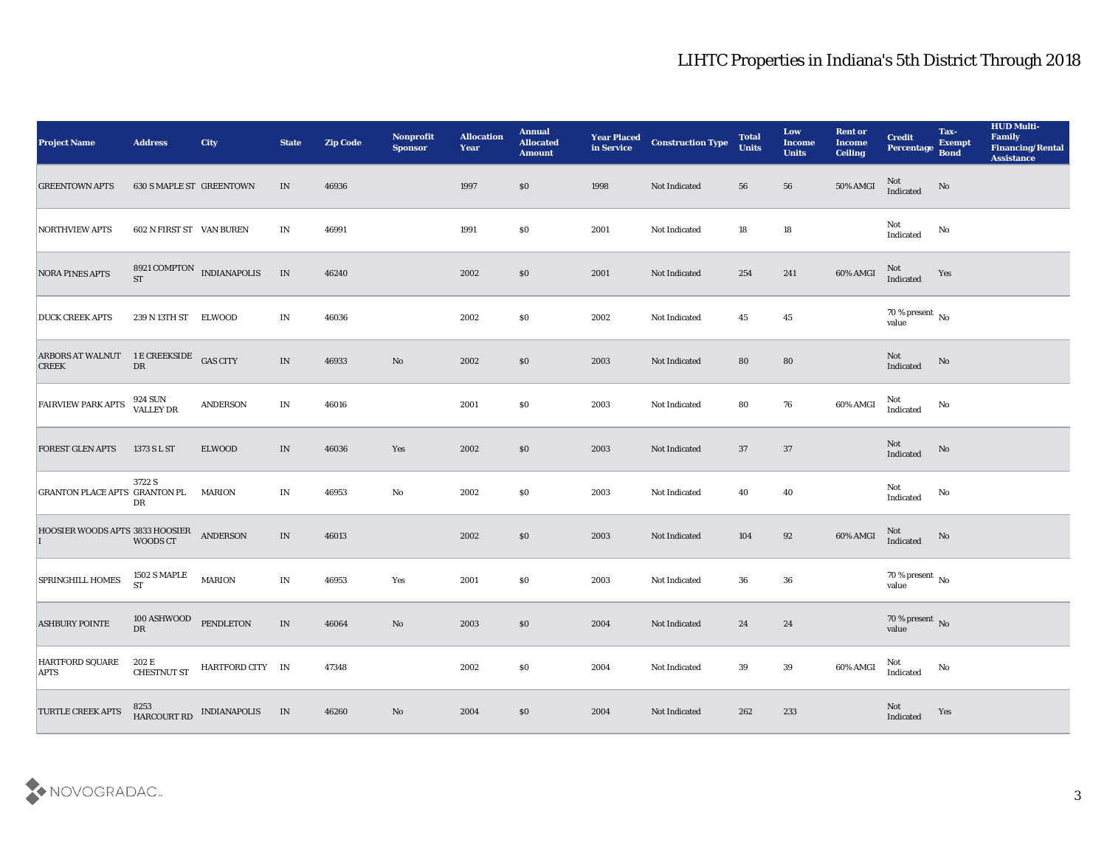| <b>Project Name</b>                     | <b>Address</b>                            | <b>City</b>                      | <b>State</b>                    | <b>Zip Code</b> | Nonprofit<br><b>Sponsor</b> | <b>Allocation</b><br><b>Year</b> | <b>Annual</b><br><b>Allocated</b><br><b>Amount</b> | <b>Year Placed<br/>in Service</b> | <b>Construction Type</b> | <b>Total</b><br><b>Units</b> | Low<br><b>Income</b><br><b>Units</b> | <b>Rent or</b><br><b>Income</b><br><b>Ceiling</b> | <b>Credit</b><br>Percentage    | Tax-<br><b>Exempt</b><br><b>Bond</b> | <b>HUD Multi-</b><br>Family<br><b>Financing/Rental</b><br><b>Assistance</b> |
|-----------------------------------------|-------------------------------------------|----------------------------------|---------------------------------|-----------------|-----------------------------|----------------------------------|----------------------------------------------------|-----------------------------------|--------------------------|------------------------------|--------------------------------------|---------------------------------------------------|--------------------------------|--------------------------------------|-----------------------------------------------------------------------------|
| <b>GREENTOWN APTS</b>                   | 630 S MAPLE ST GREENTOWN                  |                                  | IN                              | 46936           |                             | 1997                             | \$0                                                | 1998                              | Not Indicated            | 56                           | 56                                   | 50% AMGI                                          | Not<br>Indicated               | No                                   |                                                                             |
| <b>NORTHVIEW APTS</b>                   | 602 N FIRST ST VAN BUREN                  |                                  | IN                              | 46991           |                             | 1991                             | \$0                                                | 2001                              | Not Indicated            | 18                           | 18                                   |                                                   | Not<br>Indicated               | No                                   |                                                                             |
| <b>NORA PINES APTS</b>                  | <b>ST</b>                                 | 8921 COMPTON INDIANAPOLIS        | $\;$ IN                         | 46240           |                             | 2002                             | \$0                                                | 2001                              | Not Indicated            | 254                          | 241                                  | 60% AMGI                                          | Not<br>Indicated               | Yes                                  |                                                                             |
| <b>DUCK CREEK APTS</b>                  | 239 N 13TH ST ELWOOD                      |                                  | IN                              | 46036           |                             | 2002                             | \$0                                                | 2002                              | Not Indicated            | 45                           | 45                                   |                                                   | $70\,\%$ present $\,$ No value |                                      |                                                                             |
| <b>ARBORS AT WALNUT</b><br><b>CREEK</b> | 1 E CREEKSIDE<br>DR                       |                                  | $\ensuremath{\text{IN}}\xspace$ | 46933           | No                          | 2002                             | \$0                                                | 2003                              | Not Indicated            | 80                           | 80                                   |                                                   | Not<br>Indicated               | No                                   |                                                                             |
| <b>FAIRVIEW PARK APTS</b>               | 924 SUN<br>VALLEY DR                      | <b>ANDERSON</b>                  | IN                              | 46016           |                             | 2001                             | \$0                                                | 2003                              | Not Indicated            | 80                           | 76                                   | 60% AMGI                                          | Not<br>Indicated               | No                                   |                                                                             |
| <b>FOREST GLEN APTS</b>                 | 1373 S L ST                               | <b>ELWOOD</b>                    | IN                              | 46036           | Yes                         | 2002                             | \$0                                                | 2003                              | Not Indicated            | 37                           | 37                                   |                                                   | Not<br>Indicated               | $\rm No$                             |                                                                             |
| <b>GRANTON PLACE APTS GRANTON PL</b>    | 3722 S<br>DR                              | <b>MARION</b>                    | IN                              | 46953           | $\rm\thinspace No$          | 2002                             | \$0                                                | 2003                              | Not Indicated            | 40                           | 40                                   |                                                   | Not<br>Indicated               | $\mathbf{N}\mathbf{o}$               |                                                                             |
| HOOSIER WOODS APTS 3833 HOOSIER         | WOODS CT                                  | <b>ANDERSON</b>                  | IN                              | 46013           |                             | 2002                             | \$0                                                | 2003                              | Not Indicated            | 104                          | $92\,$                               | 60% AMGI                                          | Not<br>Indicated               | No                                   |                                                                             |
| <b>SPRINGHILL HOMES</b>                 | <b>1502 S MAPLE</b><br><b>ST</b>          | <b>MARION</b>                    | IN                              | 46953           | Yes                         | 2001                             | \$0                                                | 2003                              | Not Indicated            | 36                           | 36                                   |                                                   | $70\,\%$ present $\,$ No value |                                      |                                                                             |
| <b>ASHBURY POINTE</b>                   | 100 ASHWOOD PENDLETON<br>${\rm D}{\rm R}$ |                                  | IN                              | 46064           | No                          | 2003                             | \$0                                                | 2004                              | Not Indicated            | 24                           | 24                                   |                                                   | $70\,\%$ present $\,$ No value |                                      |                                                                             |
| HARTFORD SQUARE<br><b>APTS</b>          | 202 E                                     | CHESTNUT ST HARTFORD CITY IN     |                                 | 47348           |                             | 2002                             | \$0                                                | 2004                              | Not Indicated            | 39                           | $39\,$                               | 60% AMGI                                          | Not<br>Indicated               | $\rm No$                             |                                                                             |
| TURTLE CREEK APTS                       |                                           | 8253<br>HARCOURT RD INDIANAPOLIS | IN                              | 46260           | $\rm\thinspace No$          | 2004                             | $\boldsymbol{\mathsf{S}}\boldsymbol{\mathsf{O}}$   | 2004                              | Not Indicated            | 262                          | 233                                  |                                                   | Not<br>Indicated               | Yes                                  |                                                                             |

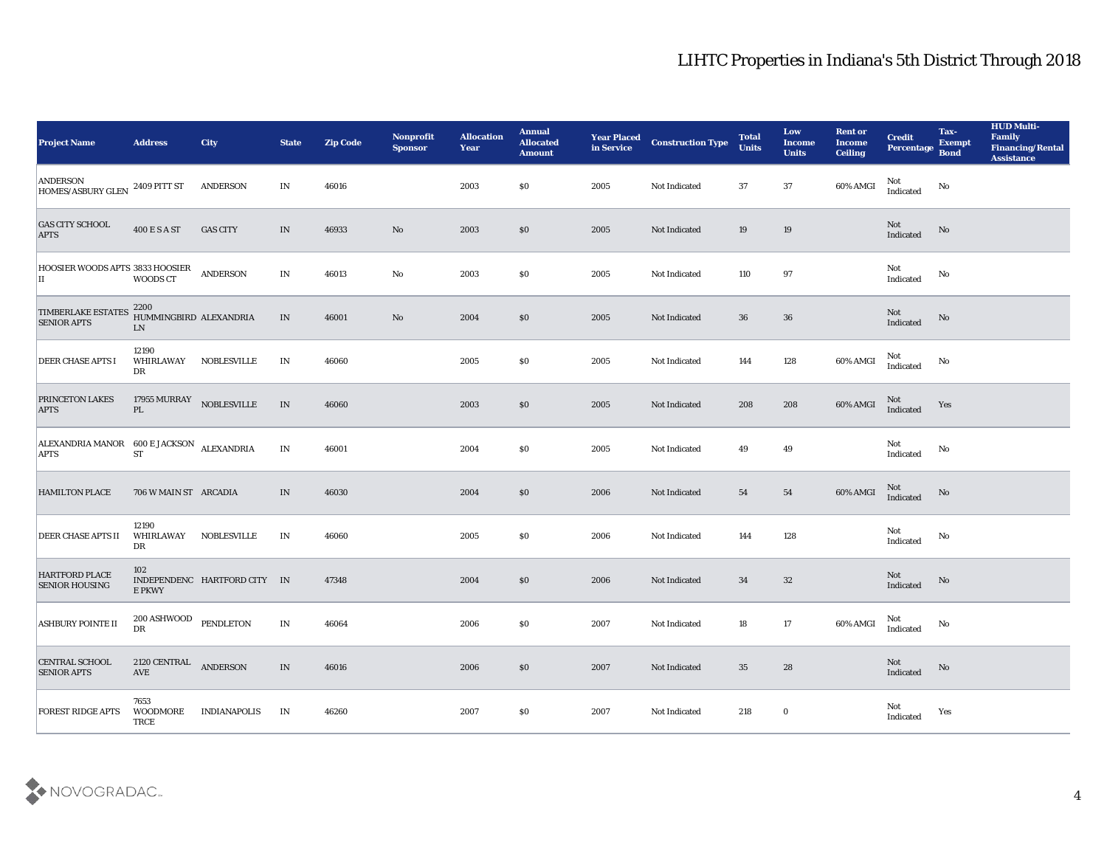| <b>Project Name</b>                                      | <b>Address</b>                       | City                         | <b>State</b> | <b>Zip Code</b> | <b>Nonprofit</b><br><b>Sponsor</b> | <b>Allocation</b><br><b>Year</b> | <b>Annual</b><br><b>Allocated</b><br><b>Amount</b> | <b>Year Placed</b><br>in Service | <b>Construction Type</b> | <b>Total</b><br><b>Units</b> | Low<br><b>Income</b><br><b>Units</b> | <b>Rent or</b><br><b>Income</b><br><b>Ceiling</b> | <b>Credit</b><br>Percentage | Tax-<br><b>Exempt</b><br><b>Bond</b> | <b>HUD Multi-</b><br>Family<br><b>Financing/Rental</b><br><b>Assistance</b> |
|----------------------------------------------------------|--------------------------------------|------------------------------|--------------|-----------------|------------------------------------|----------------------------------|----------------------------------------------------|----------------------------------|--------------------------|------------------------------|--------------------------------------|---------------------------------------------------|-----------------------------|--------------------------------------|-----------------------------------------------------------------------------|
| <b>ANDERSON</b><br>HOMES/ASBURY GLEN 2409 PITT ST        |                                      | ANDERSON                     | IN           | 46016           |                                    | 2003                             | $\$0$                                              | 2005                             | Not Indicated            | 37                           | 37                                   | 60% AMGI                                          | Not<br>Indicated            | No                                   |                                                                             |
| <b>GAS CITY SCHOOL</b><br><b>APTS</b>                    | <b>400 E S A ST</b>                  | <b>GAS CITY</b>              | IN           | 46933           | No                                 | 2003                             | \$0                                                | 2005                             | Not Indicated            | 19                           | 19                                   |                                                   | Not<br>Indicated            | No                                   |                                                                             |
| HOOSIER WOODS APTS 3833 HOOSIER<br>IІ                    | WOODS CT                             | <b>ANDERSON</b>              | IN           | 46013           | No                                 | 2003                             | $\$0$                                              | 2005                             | Not Indicated            | 110                          | 97                                   |                                                   | Not<br>Indicated            | No                                   |                                                                             |
| <b>TIMBERLAKE ESTATES</b><br><b>SENIOR APTS</b>          | 2200<br>HUMMINGBIRD ALEXANDRIA<br>LN |                              | IN           | 46001           | No                                 | 2004                             | $\$0$                                              | 2005                             | Not Indicated            | 36                           | 36                                   |                                                   | Not<br>Indicated            | No                                   |                                                                             |
| <b>DEER CHASE APTS I</b>                                 | 12190<br>WHIRLAWAY<br>DR             | <b>NOBLESVILLE</b>           | IN           | 46060           |                                    | 2005                             | $\$0$                                              | 2005                             | Not Indicated            | 144                          | 128                                  | 60% AMGI                                          | Not<br>Indicated            | No                                   |                                                                             |
| <b>PRINCETON LAKES</b><br><b>APTS</b>                    | 17955 MURRAY NOBLESVILLE<br>PL       |                              | IN           | 46060           |                                    | 2003                             | \$0                                                | 2005                             | Not Indicated            | 208                          | 208                                  | 60% AMGI                                          | Not<br>Indicated            | Yes                                  |                                                                             |
| ALEXANDRIA MANOR 600 E JACKSON ALEXANDRIA<br><b>APTS</b> | ST                                   |                              | IN           | 46001           |                                    | 2004                             | $\$0$                                              | 2005                             | Not Indicated            | 49                           | 49                                   |                                                   | Not<br>Indicated            | No                                   |                                                                             |
| <b>HAMILTON PLACE</b>                                    | 706 W MAIN ST ARCADIA                |                              | IN           | 46030           |                                    | 2004                             | $\$0$                                              | 2006                             | Not Indicated            | 54                           | 54                                   | 60% AMGI                                          | Not<br>Indicated            | No                                   |                                                                             |
| <b>DEER CHASE APTS II</b>                                | 12190<br><b>WHIRLAWAY</b><br>DR      | <b>NOBLESVILLE</b>           | IN           | 46060           |                                    | 2005                             | $\$0$                                              | 2006                             | Not Indicated            | 144                          | 128                                  |                                                   | Not<br>Indicated            | $\mathbf{No}$                        |                                                                             |
| HARTFORD PLACE<br><b>SENIOR HOUSING</b>                  | 102<br>E PKWY                        | INDEPENDENC HARTFORD CITY IN |              | 47348           |                                    | 2004                             | \$0                                                | 2006                             | Not Indicated            | 34                           | 32                                   |                                                   | Not<br>Indicated            | No                                   |                                                                             |
| <b>ASHBURY POINTE II</b>                                 | 200 ASHWOOD PENDLETON<br>DR          |                              | IN           | 46064           |                                    | 2006                             | \$0                                                | 2007                             | Not Indicated            | 18                           | 17                                   | 60% AMGI                                          | Not<br>Indicated            | No                                   |                                                                             |
| CENTRAL SCHOOL<br><b>SENIOR APTS</b>                     | 2120 CENTRAL ANDERSON<br>AVE         |                              | IN           | 46016           |                                    | 2006                             | $\$0$                                              | 2007                             | Not Indicated            | 35                           | 28                                   |                                                   | Not<br>Indicated            | $\rm \bf No$                         |                                                                             |
| <b>FOREST RIDGE APTS</b>                                 | 7653<br>WOODMORE<br>TRCE             | <b>INDIANAPOLIS</b>          | IN           | 46260           |                                    | 2007                             | \$0                                                | 2007                             | Not Indicated            | 218                          | $\bf{0}$                             |                                                   | Not<br>Indicated            | Yes                                  |                                                                             |

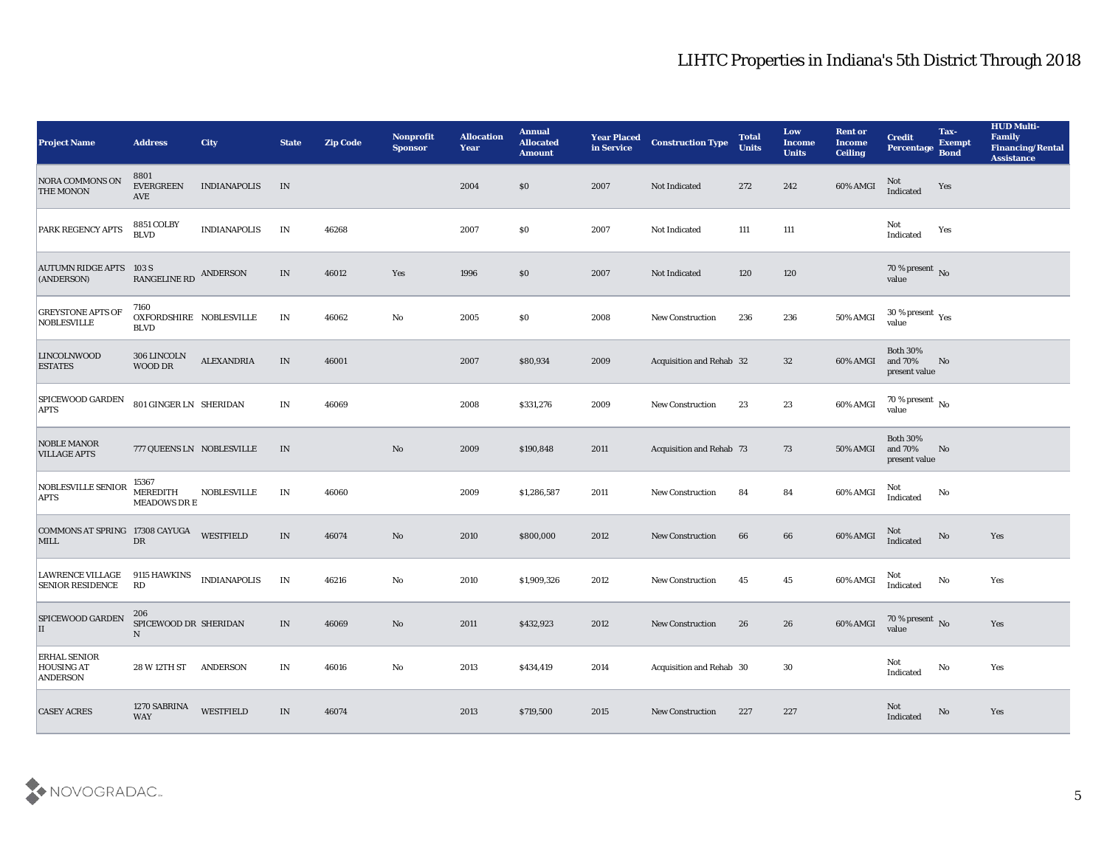| <b>Project Name</b>                                  | <b>Address</b>                                 | <b>City</b>         | <b>State</b>             | <b>Zip Code</b> | Nonprofit<br><b>Sponsor</b> | <b>Allocation</b><br><b>Year</b> | <b>Annual</b><br><b>Allocated</b><br><b>Amount</b> | <b>Year Placed</b><br>in Service | <b>Construction Type</b> | <b>Total</b><br><b>Units</b> | Low<br><b>Income</b><br><b>Units</b> | <b>Rent or</b><br><b>Income</b><br><b>Ceiling</b> | <b>Credit</b><br>Percentage                 | Tax-<br><b>Exempt</b><br><b>Bond</b> | <b>HUD Multi-</b><br>Family<br><b>Financing/Rental</b><br><b>Assistance</b> |
|------------------------------------------------------|------------------------------------------------|---------------------|--------------------------|-----------------|-----------------------------|----------------------------------|----------------------------------------------------|----------------------------------|--------------------------|------------------------------|--------------------------------------|---------------------------------------------------|---------------------------------------------|--------------------------------------|-----------------------------------------------------------------------------|
| <b>NORA COMMONS ON</b><br><b>THE MONON</b>           | 8801<br><b>EVERGREEN</b><br><b>AVE</b>         | <b>INDIANAPOLIS</b> | IN                       |                 |                             | 2004                             | \$0                                                | 2007                             | Not Indicated            | 272                          | 242                                  | 60% AMGI                                          | Not<br>Indicated                            | Yes                                  |                                                                             |
| <b>PARK REGENCY APTS</b>                             | 8851 COLBY<br><b>BLVD</b>                      | <b>INDIANAPOLIS</b> | IN                       | 46268           |                             | 2007                             | \$0                                                | 2007                             | Not Indicated            | 111                          | $111\,$                              |                                                   | Not<br>Indicated                            | Yes                                  |                                                                             |
| <b>AUTUMN RIDGE APTS 103 S</b><br>(ANDERSON)         | RANGELINE RD ANDERSON                          |                     | IN                       | 46012           | Yes                         | 1996                             | \$0                                                | 2007                             | Not Indicated            | 120                          | 120                                  |                                                   | 70 % present $\overline{N_0}$<br>value      |                                      |                                                                             |
| <b>GREYSTONE APTS OF</b><br><b>NOBLESVILLE</b>       | 7160<br>OXFORDSHIRE NOBLESVILLE<br><b>BLVD</b> |                     | $\mathbf{IN}$            | 46062           | $\mathbf {No}$              | 2005                             | \$0                                                | 2008                             | <b>New Construction</b>  | 236                          | 236                                  | 50% AMGI                                          | $30\,\%$ present $\,$ Yes value             |                                      |                                                                             |
| <b>LINCOLNWOOD</b><br><b>ESTATES</b>                 | 306 LINCOLN<br>WOOD DR                         | <b>ALEXANDRIA</b>   | IN                       | 46001           |                             | 2007                             | \$80,934                                           | 2009                             | Acquisition and Rehab 32 |                              | 32                                   | 60% AMGI                                          | <b>Both 30%</b><br>and 70%<br>present value | No                                   |                                                                             |
| <b>SPICEWOOD GARDEN</b><br><b>APTS</b>               | 801 GINGER LN SHERIDAN                         |                     | IN                       | 46069           |                             | 2008                             | \$331,276                                          | 2009                             | <b>New Construction</b>  | 23                           | 23                                   | 60% AMGI                                          | 70 % present No<br>value                    |                                      |                                                                             |
| <b>NOBLE MANOR</b><br><b>VILLAGE APTS</b>            | 777 QUEENS LN NOBLESVILLE                      |                     | IN                       |                 | No                          | 2009                             | \$190,848                                          | 2011                             | Acquisition and Rehab 73 |                              | 73                                   | 50% AMGI                                          | <b>Both 30%</b><br>and 70%<br>present value | No                                   |                                                                             |
| NOBLESVILLE SENIOR<br><b>APTS</b>                    | 15367<br><b>MEREDITH</b><br>MEADOWS DR E       | <b>NOBLESVILLE</b>  | IN                       | 46060           |                             | 2009                             | \$1,286,587                                        | 2011                             | <b>New Construction</b>  | 84                           | 84                                   | 60% AMGI                                          | Not<br>Indicated                            | No                                   |                                                                             |
| COMMONS AT SPRING 17308 CAYUGA<br><b>MILL</b>        | DR                                             | <b>WESTFIELD</b>    | $\ensuremath{\text{IN}}$ | 46074           | $\mathbf{N}\mathbf{o}$      | 2010                             | \$800,000                                          | 2012                             | <b>New Construction</b>  | 66                           | 66                                   | 60% AMGI                                          | Not<br>Indicated                            | No                                   | Yes                                                                         |
| <b>LAWRENCE VILLAGE</b><br><b>SENIOR RESIDENCE</b>   | 9115 HAWKINS<br>RD                             | <b>INDIANAPOLIS</b> | IN                       | 46216           | $\mathbf {No}$              | 2010                             | \$1,909,326                                        | 2012                             | <b>New Construction</b>  | 45                           | 45                                   | 60% AMGI                                          | Not<br>Indicated                            | $\rm\thinspace No$                   | Yes                                                                         |
| <b>SPICEWOOD GARDEN</b><br>II                        | 206<br>SPICEWOOD DR SHERIDAN<br>$\mathbf N$    |                     | IN                       | 46069           | No                          | 2011                             | \$432,923                                          | 2012                             | <b>New Construction</b>  | 26                           | 26                                   | 60% AMGI                                          | 70 % present No<br>value                    |                                      | Yes                                                                         |
| <b>ERHAL SENIOR</b><br><b>HOUSING AT</b><br>ANDERSON | 28 W 12TH ST ANDERSON                          |                     | IN                       | 46016           | $\mathbf{No}$               | 2013                             | \$434,419                                          | 2014                             | Acquisition and Rehab 30 |                              | $30\,$                               |                                                   | Not<br>$\operatorname{Indicated}$           | No                                   | Yes                                                                         |
| <b>CASEY ACRES</b>                                   | 1270 SABRINA<br><b>WAY</b>                     | WESTFIELD           | $\ensuremath{\text{IN}}$ | 46074           |                             | 2013                             | \$719,500                                          | 2015                             | New Construction         | 227                          | 227                                  |                                                   | Not<br>Indicated                            | $\mathbf{N}\mathbf{o}$               | Yes                                                                         |